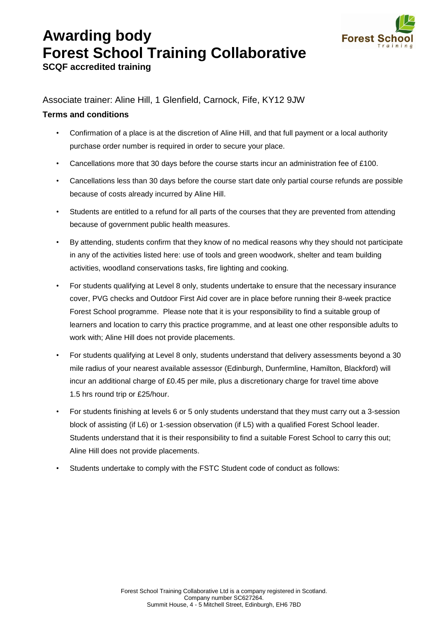## **Awarding body Forest School Training Collaborative**



**SCQF accredited training** 

Associate trainer: Aline Hill, 1 Glenfield, Carnock, Fife, KY12 9JW

## **Terms and conditions**

- Confirmation of a place is at the discretion of Aline Hill, and that full payment or a local authority purchase order number is required in order to secure your place.
- Cancellations more that 30 days before the course starts incur an administration fee of £100.
- Cancellations less than 30 days before the course start date only partial course refunds are possible because of costs already incurred by Aline Hill.
- Students are entitled to a refund for all parts of the courses that they are prevented from attending because of government public health measures.
- By attending, students confirm that they know of no medical reasons why they should not participate in any of the activities listed here: use of tools and green woodwork, shelter and team building activities, woodland conservations tasks, fire lighting and cooking.
- For students qualifying at Level 8 only, students undertake to ensure that the necessary insurance cover, PVG checks and Outdoor First Aid cover are in place before running their 8-week practice Forest School programme. Please note that it is your responsibility to find a suitable group of learners and location to carry this practice programme, and at least one other responsible adults to work with; Aline Hill does not provide placements.
- For students qualifying at Level 8 only, students understand that delivery assessments beyond a 30 mile radius of your nearest available assessor (Edinburgh, Dunfermline, Hamilton, Blackford) will incur an additional charge of £0.45 per mile, plus a discretionary charge for travel time above 1.5 hrs round trip or £25/hour.
- For students finishing at levels 6 or 5 only students understand that they must carry out a 3-session block of assisting (if L6) or 1-session observation (if L5) with a qualified Forest School leader. Students understand that it is their responsibility to find a suitable Forest School to carry this out; Aline Hill does not provide placements.
- Students undertake to comply with the FSTC Student code of conduct as follows: